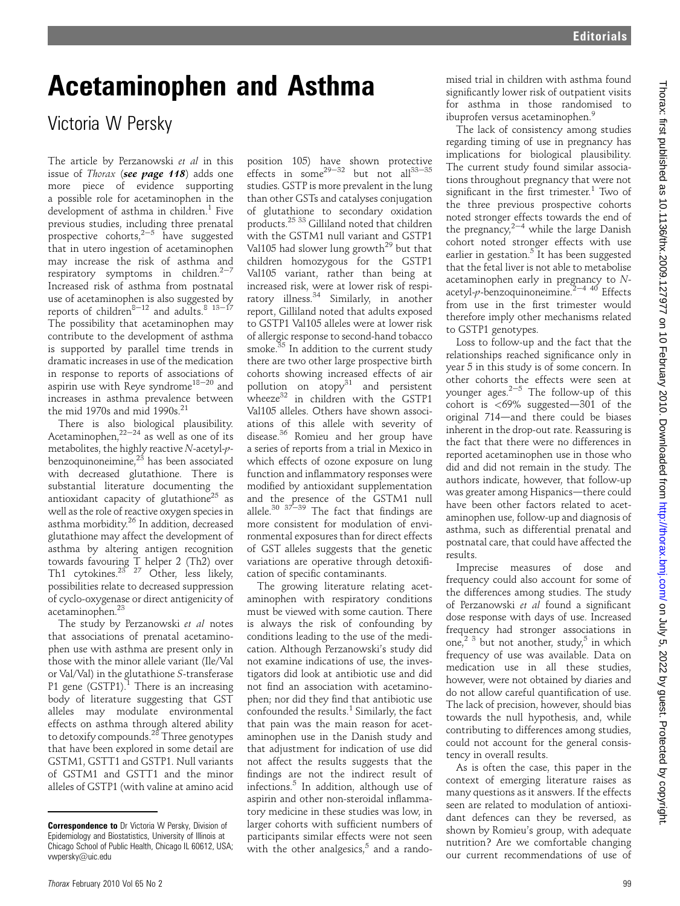## Acetaminophen and Asthma

## Victoria W Persky

The article by Perzanowski et al in this issue of Thorax (see page 118) adds one more piece of evidence supporting a possible role for acetaminophen in the development of asthma in children.<sup>1</sup> Five previous studies, including three prenatal prospective cohorts, $2\frac{2}{5}$  have suggested that in utero ingestion of acetaminophen may increase the risk of asthma and respiratory symptoms in children. $2-7$ Increased risk of asthma from postnatal use of acetaminophen is also suggested by reports of children<sup>8–12</sup> and adults.<sup>8</sup>  $13-17$ The possibility that acetaminophen may contribute to the development of asthma is supported by parallel time trends in dramatic increases in use of the medication in response to reports of associations of aspirin use with Reye syndrome<sup>18–20</sup> and increases in asthma prevalence between the mid 1970s and mid 1990s. $21$ 

There is also biological plausibility. Acetaminophen, $2^{2-24}$  as well as one of its metabolites, the highly reactive N-acetyl-pbenzoquinoneimine,<sup>23</sup> has been associated with decreased glutathione. There is substantial literature documenting the antioxidant capacity of glutathione<sup>25</sup> as well as the role of reactive oxygen species in asthma morbidity.26 In addition, decreased glutathione may affect the development of asthma by altering antigen recognition towards favouring T helper 2 (Th2) over Th1 cytokines.<sup>23 27</sup> Other, less likely, possibilities relate to decreased suppression of cyclo-oxygenase or direct antigenicity of acetaminophen.23

The study by Perzanowski et al notes that associations of prenatal acetaminophen use with asthma are present only in those with the minor allele variant (Ile/Val or Val/Val) in the glutathione S-transferase P1 gene  $(GSTP1).$ <sup>1</sup> There is an increasing body of literature suggesting that GST alleles may modulate environmental effects on asthma through altered ability to detoxify compounds.<sup>28</sup> Three genotypes that have been explored in some detail are GSTM1, GSTT1 and GSTP1. Null variants of GSTM1 and GSTT1 and the minor alleles of GSTP1 (with valine at amino acid

position 105) have shown protective effects in some<sup>29-32</sup> but not all<sup>33-35</sup> studies. GSTP is more prevalent in the lung than other GSTs and catalyses conjugation of glutathione to secondary oxidation products.25 33 Gilliland noted that children with the GSTM1 null variant and GSTP1 Val105 had slower lung growth<sup>29</sup> but that children homozygous for the GSTP1 Val105 variant, rather than being at increased risk, were at lower risk of respiratory illness.<sup>34</sup> Similarly, in another report, Gilliland noted that adults exposed to GSTP1 Val105 alleles were at lower risk of allergic response to second-hand tobacco smoke. $35$  In addition to the current study there are two other large prospective birth cohorts showing increased effects of air pollution on  $\text{atopy}^{31}$  and persistent wheeze $32$  in children with the GSTP1 Val105 alleles. Others have shown associations of this allele with severity of disease.<sup>36</sup> Romieu and her group have a series of reports from a trial in Mexico in which effects of ozone exposure on lung function and inflammatory responses were modified by antioxidant supplementation and the presence of the GSTM1 null allele.<sup>30 37-39</sup> The fact that findings are more consistent for modulation of environmental exposures than for direct effects of GST alleles suggests that the genetic variations are operative through detoxification of specific contaminants.

The growing literature relating acetaminophen with respiratory conditions must be viewed with some caution. There is always the risk of confounding by conditions leading to the use of the medication. Although Perzanowski's study did not examine indications of use, the investigators did look at antibiotic use and did not find an association with acetaminophen; nor did they find that antibiotic use confounded the results. $1$  Similarly, the fact that pain was the main reason for acetaminophen use in the Danish study and that adjustment for indication of use did not affect the results suggests that the findings are not the indirect result of infections.<sup>5</sup> In addition, although use of aspirin and other non-steroidal inflammatory medicine in these studies was low, in larger cohorts with sufficient numbers of participants similar effects were not seen with the other analgesics, $5$  and a rando-

mised trial in children with asthma found significantly lower risk of outpatient visits for asthma in those randomised to ibuprofen versus acetaminophen.<sup>9</sup>

The lack of consistency among studies regarding timing of use in pregnancy has implications for biological plausibility. The current study found similar associations throughout pregnancy that were not significant in the first trimester.<sup>1</sup> Two of the three previous prospective cohorts noted stronger effects towards the end of the pregnancy,  $2^{-4}$  while the large Danish cohort noted stronger effects with use earlier in gestation.<sup>5</sup> It has been suggested that the fetal liver is not able to metabolise acetaminophen early in pregnancy to Nacetyl-p-benzoquinoneimine.<sup>2-4 40</sup> Effects from use in the first trimester would therefore imply other mechanisms related to GSTP1 genotypes.

Loss to follow-up and the fact that the relationships reached significance only in year 5 in this study is of some concern. In other cohorts the effects were seen at younger ages. $2-5$  The follow-up of this cohort is  $<$  69% suggested-301 of the original  $714$ —and there could be biases inherent in the drop-out rate. Reassuring is the fact that there were no differences in reported acetaminophen use in those who did and did not remain in the study. The authors indicate, however, that follow-up was greater among Hispanics-there could have been other factors related to acetaminophen use, follow-up and diagnosis of asthma, such as differential prenatal and postnatal care, that could have affected the results.

Imprecise measures of dose and frequency could also account for some of the differences among studies. The study of Perzanowski et al found a significant dose response with days of use. Increased frequency had stronger associations in one,<sup>2 3</sup> but not another, study,<sup>5</sup> in which frequency of use was available. Data on medication use in all these studies, however, were not obtained by diaries and do not allow careful quantification of use. The lack of precision, however, should bias towards the null hypothesis, and, while contributing to differences among studies, could not account for the general consistency in overall results.

As is often the case, this paper in the context of emerging literature raises as many questions as it answers. If the effects seen are related to modulation of antioxidant defences can they be reversed, as shown by Romieu's group, with adequate nutrition? Are we comfortable changing our current recommendations of use of

**Correspondence to** Dr Victoria W Persky, Division of Epidemiology and Biostatistics, University of Illinois at Chicago School of Public Health, Chicago IL 60612, USA; vwpersky@uic.edu